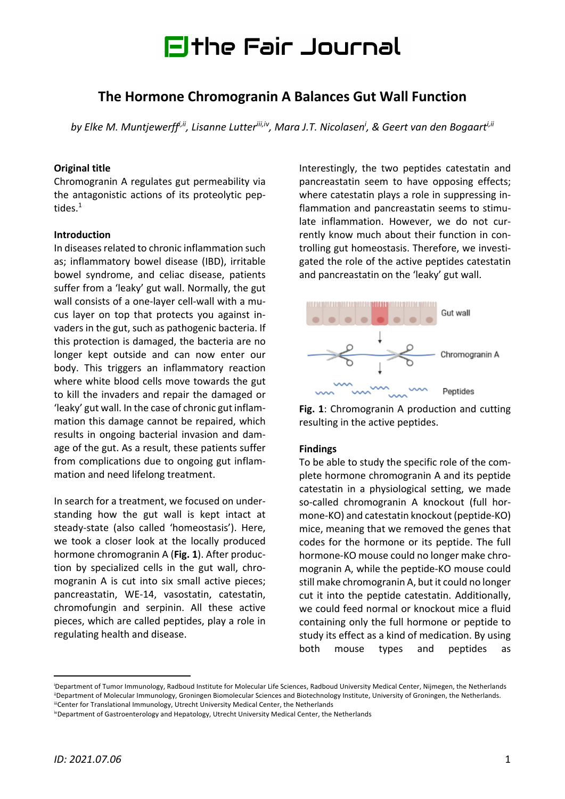

# **The Hormone Chromogranin A Balances Gut Wall Function**

by Elke M. Muntjewerff<sup>i,ii</sup>, Lisanne Lutter<sup>iii,iv</sup>, Mara J.T. Nicolasen<sup>i</sup>, & Geert van den Bogaart<sup>i,ii</sup>

#### **Original title**

Chromogranin A regulates gut permeability via the antagonistic actions of its proteolytic peptides. 1

#### **Introduction**

In diseases related to chronic inflammation such as; inflammatory bowel disease (IBD), irritable bowel syndrome, and celiac disease, patients suffer from a 'leaky' gut wall. Normally, the gut wall consists of a one-layer cell-wall with a mucus layer on top that protects you against invaders in the gut, such as pathogenic bacteria. If this protection is damaged, the bacteria are no longer kept outside and can now enter our body. This triggers an inflammatory reaction where white blood cells move towards the gut to kill the invaders and repair the damaged or 'leaky' gut wall. In the case of chronic gut inflammation this damage cannot be repaired, which results in ongoing bacterial invasion and damage of the gut. As a result, these patients suffer from complications due to ongoing gut inflammation and need lifelong treatment.

In search for a treatment, we focused on understanding how the gut wall is kept intact at steady-state (also called 'homeostasis'). Here, we took a closer look at the locally produced hormone chromogranin A (**Fig. 1**). After production by specialized cells in the gut wall, chromogranin A is cut into six small active pieces; pancreastatin, WE-14, vasostatin, catestatin, chromofungin and serpinin. All these active pieces, which are called peptides, play a role in regulating health and disease.

Interestingly, the two peptides catestatin and pancreastatin seem to have opposing effects; where catestatin plays a role in suppressing inflammation and pancreastatin seems to stimulate inflammation. However, we do not currently know much about their function in controlling gut homeostasis. Therefore, we investigated the role of the active peptides catestatin and pancreastatin on the 'leaky' gut wall.



**Fig. 1**: Chromogranin A production and cutting resulting in the active peptides.

#### **Findings**

To be able to study the specific role of the complete hormone chromogranin A and its peptide catestatin in a physiological setting, we made so-called chromogranin A knockout (full hormone-KO) and catestatin knockout (peptide-KO) mice, meaning that we removed the genes that codes for the hormone or its peptide. The full hormone-KO mouse could no longer make chromogranin A, while the peptide-KO mouse could still make chromogranin A, but it could no longer cut it into the peptide catestatin. Additionally, we could feed normal or knockout mice a fluid containing only the full hormone or peptide to study its effect as a kind of medication. By using both mouse types and peptides as

i Department of Tumor Immunology, Radboud Institute for Molecular Life Sciences, Radboud University Medical Center, Nijmegen, the Netherlands iiDepartment of Molecular Immunology, Groningen Biomolecular Sciences and Biotechnology Institute, University of Groningen, the Netherlands. iiiCenter for Translational Immunology, Utrecht University Medical Center, the Netherlands

ivDepartment of Gastroenterology and Hepatology, Utrecht University Medical Center, the Netherlands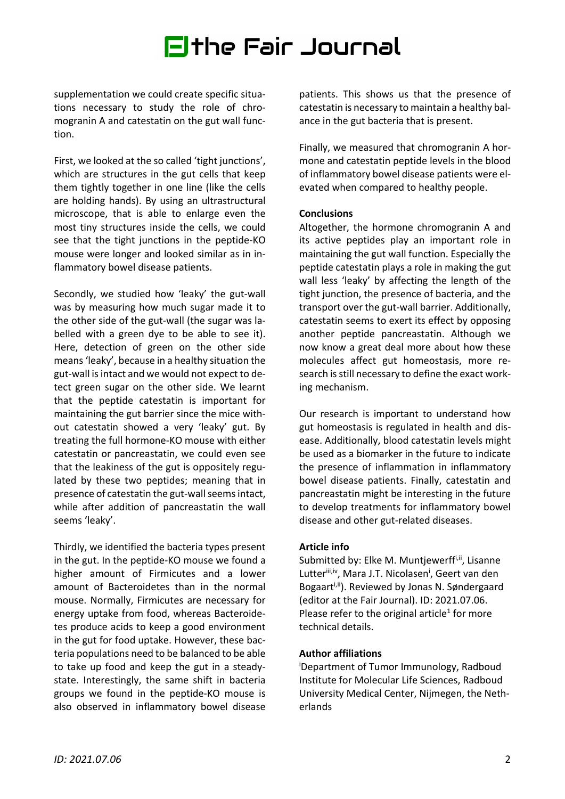# Ethe Fair Journal

supplementation we could create specific situations necessary to study the role of chromogranin A and catestatin on the gut wall function.

First, we looked at the so called 'tight junctions', which are structures in the gut cells that keep them tightly together in one line (like the cells are holding hands). By using an ultrastructural microscope, that is able to enlarge even the most tiny structures inside the cells, we could see that the tight junctions in the peptide-KO mouse were longer and looked similar as in inflammatory bowel disease patients.

Secondly, we studied how 'leaky' the gut-wall was by measuring how much sugar made it to the other side of the gut-wall (the sugar was labelled with a green dye to be able to see it). Here, detection of green on the other side means 'leaky', because in a healthy situation the gut-wall is intact and we would not expect to detect green sugar on the other side. We learnt that the peptide catestatin is important for maintaining the gut barrier since the mice without catestatin showed a very 'leaky' gut. By treating the full hormone-KO mouse with either catestatin or pancreastatin, we could even see that the leakiness of the gut is oppositely regulated by these two peptides; meaning that in presence of catestatin the gut-wall seems intact, while after addition of pancreastatin the wall seems 'leaky'.

Thirdly, we identified the bacteria types present in the gut. In the peptide-KO mouse we found a higher amount of Firmicutes and a lower amount of Bacteroidetes than in the normal mouse. Normally, Firmicutes are necessary for energy uptake from food, whereas Bacteroidetes produce acids to keep a good environment in the gut for food uptake. However, these bacteria populations need to be balanced to be able to take up food and keep the gut in a steadystate. Interestingly, the same shift in bacteria groups we found in the peptide-KO mouse is also observed in inflammatory bowel disease

patients. This shows us that the presence of catestatin is necessary to maintain a healthy balance in the gut bacteria that is present.

Finally, we measured that chromogranin A hormone and catestatin peptide levels in the blood of inflammatory bowel disease patients were elevated when compared to healthy people.

### **Conclusions**

Altogether, the hormone chromogranin A and its active peptides play an important role in maintaining the gut wall function. Especially the peptide catestatin plays a role in making the gut wall less 'leaky' by affecting the length of the tight junction, the presence of bacteria, and the transport over the gut-wall barrier. Additionally, catestatin seems to exert its effect by opposing another peptide pancreastatin. Although we now know a great deal more about how these molecules affect gut homeostasis, more research is still necessary to define the exact working mechanism.

Our research is important to understand how gut homeostasis is regulated in health and disease. Additionally, blood catestatin levels might be used as a biomarker in the future to indicate the presence of inflammation in inflammatory bowel disease patients. Finally, catestatin and pancreastatin might be interesting in the future to develop treatments for inflammatory bowel disease and other gut-related diseases.

### **Article info**

Submitted by: Elke M. Muntjewerff<sup>i,ii</sup>, Lisanne Lutteriii,iv, Mara J.T. Nicolasen<sup>i</sup>, Geert van den Bogaart<sup>i,ii</sup>). Reviewed by Jonas N. Søndergaard (editor at the Fair Journal). ID: 2021.07.06. Please refer to the original article<sup>1</sup> for more technical details.

### **Author affiliations**

i Department of Tumor Immunology, Radboud Institute for Molecular Life Sciences, Radboud University Medical Center, Nijmegen, the Netherlands